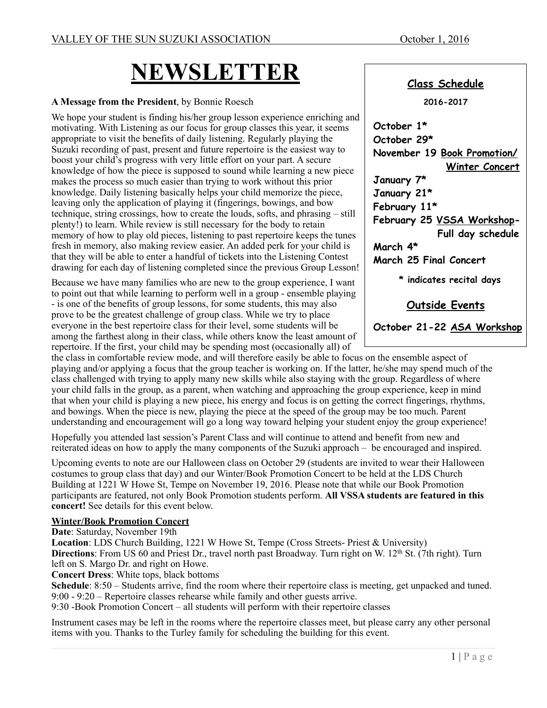# **NEWSLETTER**

#### **A Message from the President**, by Bonnie Roesch

We hope your student is finding his/her group lesson experience enriching and motivating. With Listening as our focus for group classes this year, it seems appropriate to visit the benefits of daily listening. Regularly playing the Suzuki recording of past, present and future repertoire is the easiest way to boost your child's progress with very little effort on your part. A secure knowledge of how the piece is supposed to sound while learning a new piece makes the process so much easier than trying to work without this prior knowledge. Daily listening basically helps your child memorize the piece, leaving only the application of playing it (fingerings, bowings, and bow technique, string crossings, how to create the louds, softs, and phrasing – still plenty!) to learn. While review is still necessary for the body to retain memory of how to play old pieces, listening to past repertoire keeps the tunes fresh in memory, also making review easier. An added perk for your child is that they will be able to enter a handful of tickets into the Listening Contest drawing for each day of listening completed since the previous Group Lesson!

Because we have many families who are new to the group experience, I want to point out that while learning to perform well in a group - ensemble playing - is one of the benefits of group lessons, for some students, this may also prove to be the greatest challenge of group class. While we try to place everyone in the best repertoire class for their level, some students will be among the farthest along in their class, while others know the least amount of repertoire. If the first, your child may be spending most (occasionally all) of

#### **Class Schedule**

**2016-2017** 

 **October 1\* October 29\* November 19 Book Promotion/ Winter Concert January 7\* January 21\* February 11\* February 25 VSSA Workshop- Full day schedule March 4\* March 25 Final Concert \* indicates recital days** 

**Outside Events** 

 **October 21-22 ASA Workshop**

the class in comfortable review mode, and will therefore easily be able to focus on the ensemble aspect of playing and/or applying a focus that the group teacher is working on. If the latter, he/she may spend much of the class challenged with trying to apply many new skills while also staying with the group. Regardless of where your child falls in the group, as a parent, when watching and approaching the group experience, keep in mind that when your child is playing a new piece, his energy and focus is on getting the correct fingerings, rhythms, and bowings. When the piece is new, playing the piece at the speed of the group may be too much. Parent understanding and encouragement will go a long way toward helping your student enjoy the group experience!

Hopefully you attended last session's Parent Class and will continue to attend and benefit from new and reiterated ideas on how to apply the many components of the Suzuki approach – be encouraged and inspired.

Upcoming events to note are our Halloween class on October 29 (students are invited to wear their Halloween costumes to group class that day) and our Winter/Book Promotion Concert to be held at the LDS Church Building at 1221 W Howe St, Tempe on November 19, 2016. Please note that while our Book Promotion participants are featured, not only Book Promotion students perform. **All VSSA students are featured in this concert!** See details for this event below.

#### **Winter/Book Promotion Concert**

**Date**: Saturday, November 19th

**Location**: LDS Church Building, 1221 W Howe St, Tempe (Cross Streets- Priest & University) **Directions**: From US 60 and Priest Dr., travel north past Broadway. Turn right on W. 12<sup>th</sup> St. (7th right). Turn left on S. Margo Dr. and right on Howe.

**Concert Dress**: White tops, black bottoms

**Schedule**: 8:50 – Students arrive, find the room where their repertoire class is meeting, get unpacked and tuned. 9:00 - 9:20 – Repertoire classes rehearse while family and other guests arrive.

9:30 -Book Promotion Concert – all students will perform with their repertoire classes

Instrument cases may be left in the rooms where the repertoire classes meet, but please carry any other personal items with you. Thanks to the Turley family for scheduling the building for this event.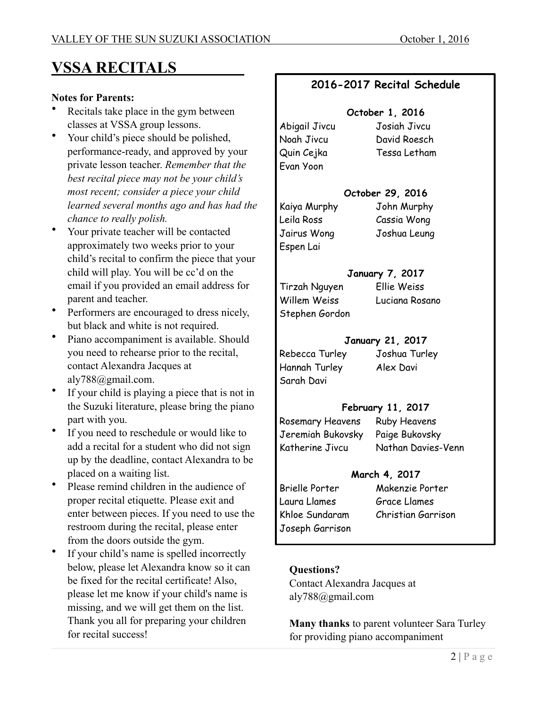# **VSSA RECITALS**

#### **Notes for Parents:**

- Recitals take place in the gym between classes at VSSA group lessons.
- Your child's piece should be polished, performance-ready, and approved by your private lesson teacher. *Remember that the best recital piece may not be your child's most recent; consider a piece your child learned several months ago and has had the chance to really polish.*
- Your private teacher will be contacted approximately two weeks prior to your child's recital to confirm the piece that your child will play. You will be cc'd on the email if you provided an email address for parent and teacher.
- Performers are encouraged to dress nicely, but black and white is not required.
- Piano accompaniment is available. Should you need to rehearse prior to the recital, contact Alexandra Jacques at aly788@gmail.com.
- If your child is playing a piece that is not in the Suzuki literature, please bring the piano part with you.
- If you need to reschedule or would like to add a recital for a student who did not sign up by the deadline, contact Alexandra to be placed on a waiting list.
- Please remind children in the audience of proper recital etiquette. Please exit and enter between pieces. If you need to use the restroom during the recital, please enter from the doors outside the gym.
- If your child's name is spelled incorrectly below, please let Alexandra know so it can be fixed for the recital certificate! Also, please let me know if your child's name is missing, and we will get them on the list. Thank you all for preparing your children for recital success!

## **2016-2017 Recital Schedule**

#### **October 1, 2016**

Evan Yoon

Abigail Jivcu Josiah Jivcu Noah Jivcu David Roesch Quin Cejka Tessa Letham

#### **October 29, 2016**

Kaiya Murphy John Murphy Leila Ross Cassia Wong Jairus Wong Joshua Leung Espen Lai

#### **January 7, 2017**

Tirzah Nguyen Ellie Weiss Willem Weiss Luciana Rosano Stephen Gordon

#### **January 21, 2017**

Rebecca Turley Joshua Turley Hannah Turley Alex Davi Sarah Davi

#### **February 11, 2017**

Rosemary Heavens Ruby Heavens Jeremiah Bukovsky Paige Bukovsky

Katherine Jivcu Nathan Davies-Venn

#### **March 4, 2017**

Laura Llames Grace Llames Joseph Garrison

Brielle Porter Makenzie Porter Khloe Sundaram Christian Garrison

#### **Questions?**

Contact Alexandra Jacques at aly788@gmail.com

**Many thanks** to parent volunteer Sara Turley for providing piano accompaniment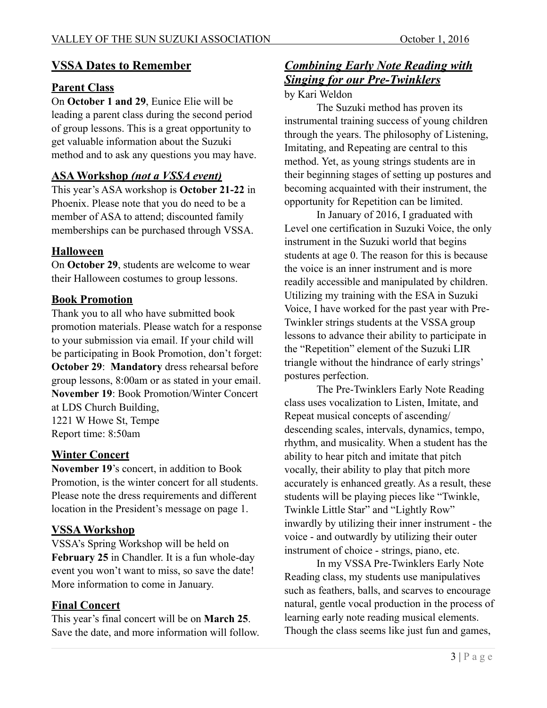## **VSSA Dates to Remember**

#### **Parent Class**

On **October 1 and 29**, Eunice Elie will be leading a parent class during the second period of group lessons. This is a great opportunity to get valuable information about the Suzuki method and to ask any questions you may have.

#### **ASA Workshop** *(not a VSSA event)*

This year's ASA workshop is **October 21-22** in Phoenix. Please note that you do need to be a member of ASA to attend; discounted family memberships can be purchased through VSSA.

#### **Halloween**

On **October 29**, students are welcome to wear their Halloween costumes to group lessons.

#### **Book Promotion**

Thank you to all who have submitted book promotion materials. Please watch for a response to your submission via email. If your child will be participating in Book Promotion, don't forget: **October 29**: **Mandatory** dress rehearsal before group lessons, 8:00am or as stated in your email. **November 19**: Book Promotion/Winter Concert at LDS Church Building,

1221 W Howe St, Tempe Report time: 8:50am

#### **Winter Concert**

**November 19**'s concert, in addition to Book Promotion, is the winter concert for all students. Please note the dress requirements and different location in the President's message on page 1.

#### **VSSA Workshop**

VSSA's Spring Workshop will be held on **February 25** in Chandler. It is a fun whole-day event you won't want to miss, so save the date! More information to come in January.

#### **Final Concert**

This year's final concert will be on **March 25**. Save the date, and more information will follow.

# *Combining Early Note Reading with Singing for our Pre-Twinklers*

#### by Kari Weldon

 The Suzuki method has proven its instrumental training success of young children through the years. The philosophy of Listening, Imitating, and Repeating are central to this method. Yet, as young strings students are in their beginning stages of setting up postures and becoming acquainted with their instrument, the opportunity for Repetition can be limited.

 In January of 2016, I graduated with Level one certification in Suzuki Voice, the only instrument in the Suzuki world that begins students at age 0. The reason for this is because the voice is an inner instrument and is more readily accessible and manipulated by children. Utilizing my training with the ESA in Suzuki Voice, I have worked for the past year with Pre-Twinkler strings students at the VSSA group lessons to advance their ability to participate in the "Repetition" element of the Suzuki LIR triangle without the hindrance of early strings' postures perfection.

 The Pre-Twinklers Early Note Reading class uses vocalization to Listen, Imitate, and Repeat musical concepts of ascending/ descending scales, intervals, dynamics, tempo, rhythm, and musicality. When a student has the ability to hear pitch and imitate that pitch vocally, their ability to play that pitch more accurately is enhanced greatly. As a result, these students will be playing pieces like "Twinkle, Twinkle Little Star" and "Lightly Row" inwardly by utilizing their inner instrument - the voice - and outwardly by utilizing their outer instrument of choice - strings, piano, etc.

 In my VSSA Pre-Twinklers Early Note Reading class, my students use manipulatives such as feathers, balls, and scarves to encourage natural, gentle vocal production in the process of learning early note reading musical elements. Though the class seems like just fun and games,